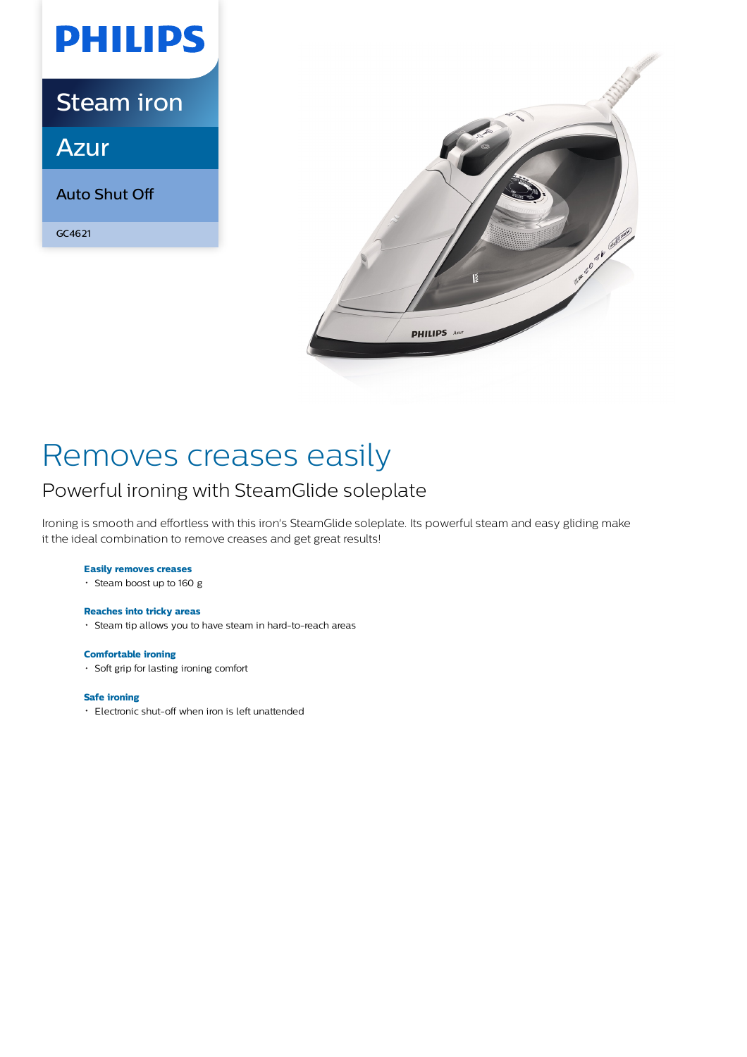

Steam iron

Azur

Auto Shut Off

GC4621



# Removes creases easily

### Powerful ironing with SteamGlide soleplate

Ironing is smooth and effortless with this iron's SteamGlide soleplate. Its powerful steam and easy gliding make it the ideal combination to remove creases and get great results!

#### **Easily removes creases**

• Steam boost up to 160 g

#### **Reaches into tricky areas**

Steam tip allows you to have steam in hard-to-reach areas

#### **Comfortable ironing**

• Soft grip for lasting ironing comfort

#### **Safe ironing**

Electronic shut-off when iron is left unattended